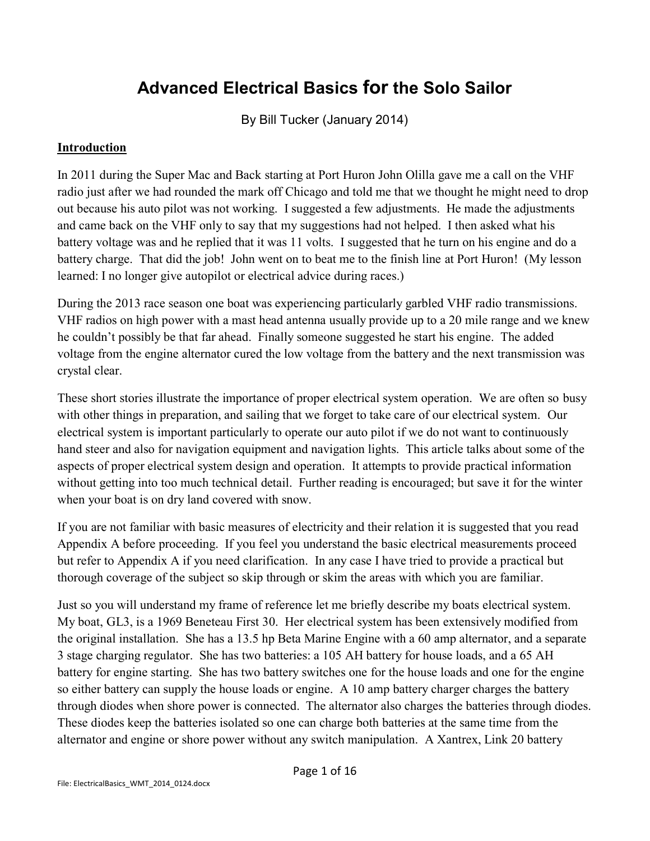# **Advanced Electrical Basics for the Solo Sailor**

By Bill Tucker (January 2014)

#### **Introduction**

In 2011 during the Super Mac and Back starting at Port Huron John Olilla gave me a call on the VHF radio just after we had rounded the mark off Chicago and told me that we thought he might need to drop out because his auto pilot was not working. I suggested a few adjustments. He made the adjustments and came back on the VHF only to say that my suggestions had not helped. I then asked what his battery voltage was and he replied that it was 11 volts. I suggested that he turn on his engine and do a battery charge. That did the job! John went on to beat me to the finish line at Port Huron! (My lesson learned: I no longer give autopilot or electrical advice during races.)

During the 2013 race season one boat was experiencing particularly garbled VHF radio transmissions. VHF radios on high power with a mast head antenna usually provide up to a 20 mile range and we knew he couldn't possibly be that far ahead. Finally someone suggested he start his engine. The added voltage from the engine alternator cured the low voltage from the battery and the next transmission was crystal clear.

These short stories illustrate the importance of proper electrical system operation. We are often so busy with other things in preparation, and sailing that we forget to take care of our electrical system. Our electrical system is important particularly to operate our auto pilot if we do not want to continuously hand steer and also for navigation equipment and navigation lights. This article talks about some of the aspects of proper electrical system design and operation. It attempts to provide practical information without getting into too much technical detail. Further reading is encouraged; but save it for the winter when your boat is on dry land covered with snow.

If you are not familiar with basic measures of electricity and their relation it is suggested that you read Appendix A before proceeding. If you feel you understand the basic electrical measurements proceed but refer to Appendix A if you need clarification. In any case I have tried to provide a practical but thorough coverage of the subject so skip through or skim the areas with which you are familiar.

Just so you will understand my frame of reference let me briefly describe my boats electrical system. My boat, GL3, is a 1969 Beneteau First 30. Her electrical system has been extensively modified from the original installation. She has a 13.5 hp Beta Marine Engine with a 60 amp alternator, and a separate 3 stage charging regulator. She has two batteries: a 105 AH battery for house loads, and a 65 AH battery for engine starting. She has two battery switches one for the house loads and one for the engine so either battery can supply the house loads or engine. A 10 amp battery charger charges the battery through diodes when shore power is connected. The alternator also charges the batteries through diodes. These diodes keep the batteries isolated so one can charge both batteries at the same time from the alternator and engine or shore power without any switch manipulation. A Xantrex, Link 20 battery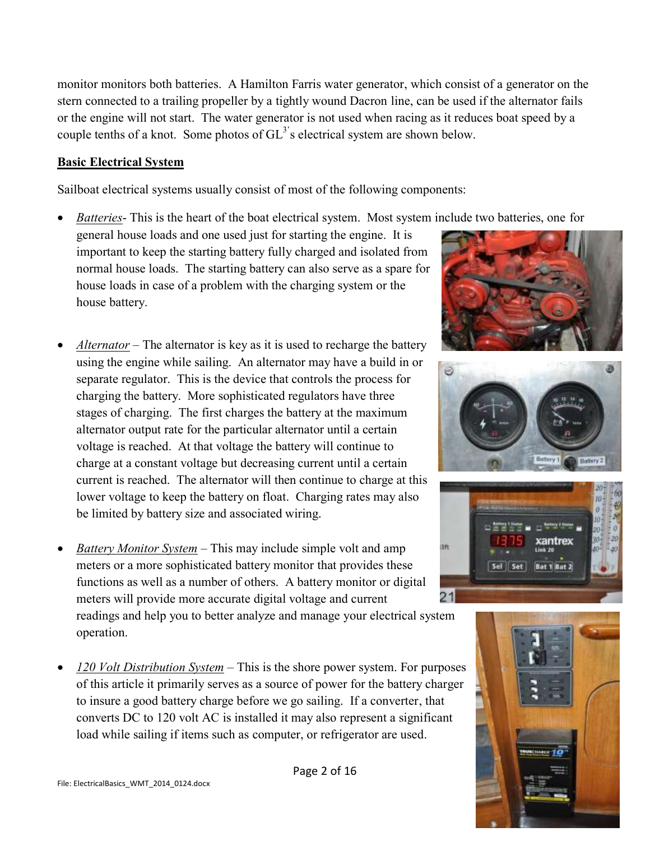monitor monitors both batteries. A Hamilton Farris water generator, which consist of a generator on the stern connected to a trailing propeller by a tightly wound Dacron line, can be used if the alternator fails or the engine will not start. The water generator is not used when racing as it reduces boat speed by a couple tenths of a knot. Some photos of  $GL<sup>3</sup>$ 's electrical system are shown below.

#### **Basic Electrical System**

Sailboat electrical systems usually consist of most of the following components:

*Batteries*- This is the heart of the boat electrical system. Most system include two batteries, one for

general house loads and one used just for starting the engine. It is important to keep the starting battery fully charged and isolated from normal house loads. The starting battery can also serve as a spare for house loads in case of a problem with the charging system or the house battery.

- *Alternator* The alternator is key as it is used to recharge the battery using the engine while sailing. An alternator may have a build in or separate regulator. This is the device that controls the process for charging the battery. More sophisticated regulators have three stages of charging. The first charges the battery at the maximum alternator output rate for the particular alternator until a certain voltage is reached. At that voltage the battery will continue to charge at a constant voltage but decreasing current until a certain current is reached. The alternator will then continue to charge at this lower voltage to keep the battery on float. Charging rates may also be limited by battery size and associated wiring.
- *Battery Monitor System* This may include simple volt and amp meters or a more sophisticated battery monitor that provides these functions as well as a number of others. A battery monitor or digital meters will provide more accurate digital voltage and current readings and help you to better analyze and manage your electrical system operation.
- *120 Volt Distribution System* This is the shore power system. For purposes of this article it primarily serves as a source of power for the battery charger to insure a good battery charge before we go sailing. If a converter, that converts DC to 120 volt AC is installed it may also represent a significant load while sailing if items such as computer, or refrigerator are used.



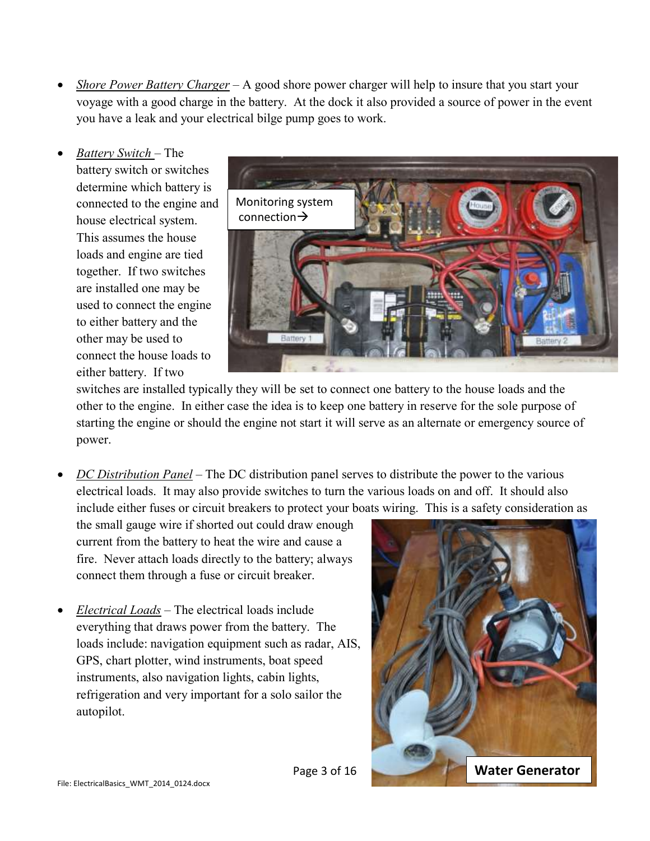- *Shore Power Battery Charger* A good shore power charger will help to insure that you start your voyage with a good charge in the battery. At the dock it also provided a source of power in the event you have a leak and your electrical bilge pump goes to work.
- *Battery Switch*  The battery switch or switches determine which battery is connected to the engine and house electrical system. This assumes the house loads and engine are tied together. If two switches are installed one may be used to connect the engine to either battery and the other may be used to connect the house loads to either battery. If two



switches are installed typically they will be set to connect one battery to the house loads and the other to the engine. In either case the idea is to keep one battery in reserve for the sole purpose of starting the engine or should the engine not start it will serve as an alternate or emergency source of power.

 *DC Distribution Panel* – The DC distribution panel serves to distribute the power to the various electrical loads. It may also provide switches to turn the various loads on and off. It should also include either fuses or circuit breakers to protect your boats wiring. This is a safety consideration as

the small gauge wire if shorted out could draw enough current from the battery to heat the wire and cause a fire. Never attach loads directly to the battery; always connect them through a fuse or circuit breaker.

 *Electrical Loads* – The electrical loads include everything that draws power from the battery. The loads include: navigation equipment such as radar, AIS, GPS, chart plotter, wind instruments, boat speed instruments, also navigation lights, cabin lights, refrigeration and very important for a solo sailor the autopilot.

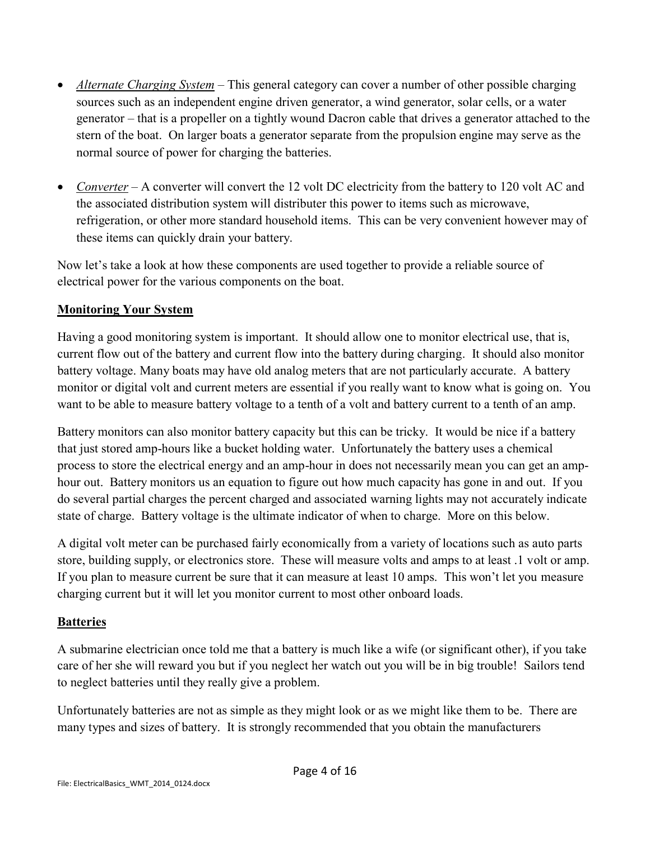- *Alternate Charging System* This general category can cover a number of other possible charging sources such as an independent engine driven generator, a wind generator, solar cells, or a water generator – that is a propeller on a tightly wound Dacron cable that drives a generator attached to the stern of the boat. On larger boats a generator separate from the propulsion engine may serve as the normal source of power for charging the batteries.
- *Converter* A converter will convert the 12 volt DC electricity from the battery to 120 volt AC and the associated distribution system will distributer this power to items such as microwave, refrigeration, or other more standard household items. This can be very convenient however may of these items can quickly drain your battery.

Now let's take a look at how these components are used together to provide a reliable source of electrical power for the various components on the boat.

## **Monitoring Your System**

Having a good monitoring system is important. It should allow one to monitor electrical use, that is, current flow out of the battery and current flow into the battery during charging. It should also monitor battery voltage. Many boats may have old analog meters that are not particularly accurate. A battery monitor or digital volt and current meters are essential if you really want to know what is going on. You want to be able to measure battery voltage to a tenth of a volt and battery current to a tenth of an amp.

Battery monitors can also monitor battery capacity but this can be tricky. It would be nice if a battery that just stored amp-hours like a bucket holding water. Unfortunately the battery uses a chemical process to store the electrical energy and an amp-hour in does not necessarily mean you can get an amphour out. Battery monitors us an equation to figure out how much capacity has gone in and out. If you do several partial charges the percent charged and associated warning lights may not accurately indicate state of charge. Battery voltage is the ultimate indicator of when to charge. More on this below.

A digital volt meter can be purchased fairly economically from a variety of locations such as auto parts store, building supply, or electronics store. These will measure volts and amps to at least .1 volt or amp. If you plan to measure current be sure that it can measure at least 10 amps. This won't let you measure charging current but it will let you monitor current to most other onboard loads.

## **Batteries**

A submarine electrician once told me that a battery is much like a wife (or significant other), if you take care of her she will reward you but if you neglect her watch out you will be in big trouble! Sailors tend to neglect batteries until they really give a problem.

Unfortunately batteries are not as simple as they might look or as we might like them to be. There are many types and sizes of battery. It is strongly recommended that you obtain the manufacturers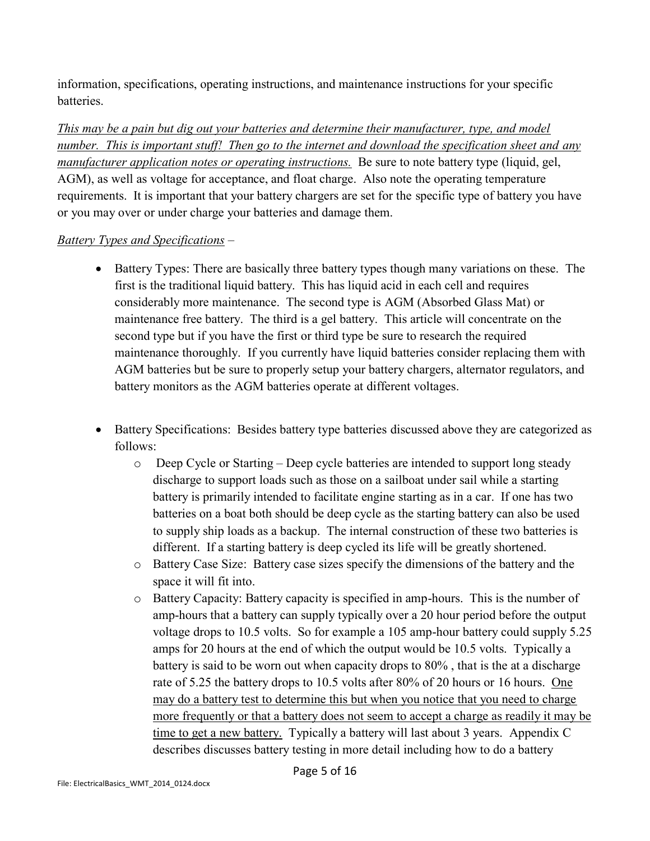information, specifications, operating instructions, and maintenance instructions for your specific batteries.

*This may be a pain but dig out your batteries and determine their manufacturer, type, and model number. This is important stuff! Then go to the internet and download the specification sheet and any manufacturer application notes or operating instructions.* Be sure to note battery type (liquid, gel, AGM), as well as voltage for acceptance, and float charge. Also note the operating temperature requirements. It is important that your battery chargers are set for the specific type of battery you have or you may over or under charge your batteries and damage them.

## *Battery Types and Specifications* –

- Battery Types: There are basically three battery types though many variations on these. The first is the traditional liquid battery. This has liquid acid in each cell and requires considerably more maintenance. The second type is AGM (Absorbed Glass Mat) or maintenance free battery. The third is a gel battery. This article will concentrate on the second type but if you have the first or third type be sure to research the required maintenance thoroughly. If you currently have liquid batteries consider replacing them with AGM batteries but be sure to properly setup your battery chargers, alternator regulators, and battery monitors as the AGM batteries operate at different voltages.
- Battery Specifications: Besides battery type batteries discussed above they are categorized as follows:
	- o Deep Cycle or Starting Deep cycle batteries are intended to support long steady discharge to support loads such as those on a sailboat under sail while a starting battery is primarily intended to facilitate engine starting as in a car. If one has two batteries on a boat both should be deep cycle as the starting battery can also be used to supply ship loads as a backup. The internal construction of these two batteries is different. If a starting battery is deep cycled its life will be greatly shortened.
	- o Battery Case Size: Battery case sizes specify the dimensions of the battery and the space it will fit into.
	- o Battery Capacity: Battery capacity is specified in amp-hours. This is the number of amp-hours that a battery can supply typically over a 20 hour period before the output voltage drops to 10.5 volts. So for example a 105 amp-hour battery could supply 5.25 amps for 20 hours at the end of which the output would be 10.5 volts. Typically a battery is said to be worn out when capacity drops to 80% , that is the at a discharge rate of 5.25 the battery drops to 10.5 volts after 80% of 20 hours or 16 hours. One may do a battery test to determine this but when you notice that you need to charge more frequently or that a battery does not seem to accept a charge as readily it may be time to get a new battery. Typically a battery will last about 3 years. Appendix C describes discusses battery testing in more detail including how to do a battery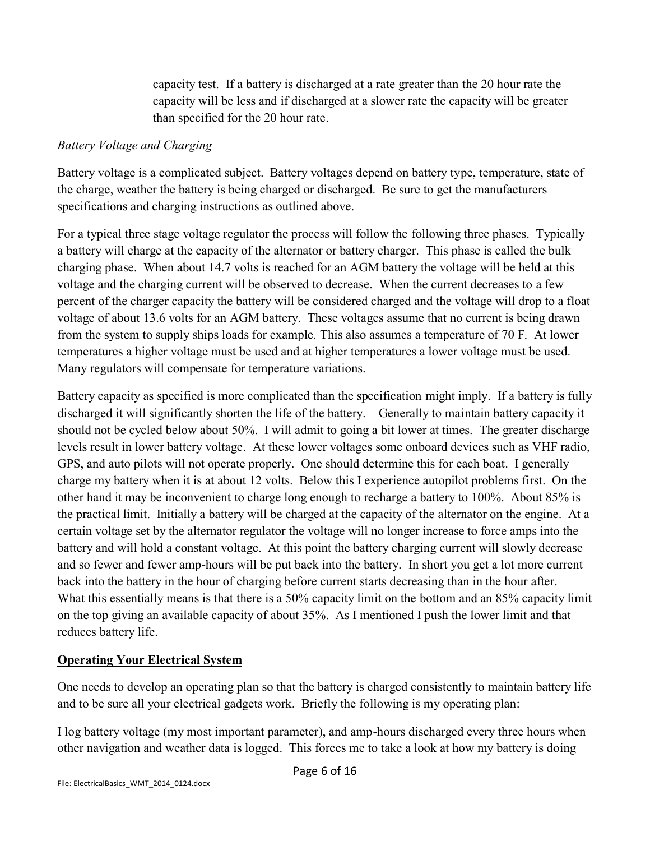capacity test. If a battery is discharged at a rate greater than the 20 hour rate the capacity will be less and if discharged at a slower rate the capacity will be greater than specified for the 20 hour rate.

#### *Battery Voltage and Charging*

Battery voltage is a complicated subject. Battery voltages depend on battery type, temperature, state of the charge, weather the battery is being charged or discharged. Be sure to get the manufacturers specifications and charging instructions as outlined above.

For a typical three stage voltage regulator the process will follow the following three phases. Typically a battery will charge at the capacity of the alternator or battery charger. This phase is called the bulk charging phase. When about 14.7 volts is reached for an AGM battery the voltage will be held at this voltage and the charging current will be observed to decrease. When the current decreases to a few percent of the charger capacity the battery will be considered charged and the voltage will drop to a float voltage of about 13.6 volts for an AGM battery. These voltages assume that no current is being drawn from the system to supply ships loads for example. This also assumes a temperature of 70 F. At lower temperatures a higher voltage must be used and at higher temperatures a lower voltage must be used. Many regulators will compensate for temperature variations.

Battery capacity as specified is more complicated than the specification might imply. If a battery is fully discharged it will significantly shorten the life of the battery. Generally to maintain battery capacity it should not be cycled below about 50%. I will admit to going a bit lower at times. The greater discharge levels result in lower battery voltage. At these lower voltages some onboard devices such as VHF radio, GPS, and auto pilots will not operate properly. One should determine this for each boat. I generally charge my battery when it is at about 12 volts. Below this I experience autopilot problems first. On the other hand it may be inconvenient to charge long enough to recharge a battery to 100%. About 85% is the practical limit. Initially a battery will be charged at the capacity of the alternator on the engine. At a certain voltage set by the alternator regulator the voltage will no longer increase to force amps into the battery and will hold a constant voltage. At this point the battery charging current will slowly decrease and so fewer and fewer amp-hours will be put back into the battery. In short you get a lot more current back into the battery in the hour of charging before current starts decreasing than in the hour after. What this essentially means is that there is a 50% capacity limit on the bottom and an 85% capacity limit on the top giving an available capacity of about 35%. As I mentioned I push the lower limit and that reduces battery life.

## **Operating Your Electrical System**

One needs to develop an operating plan so that the battery is charged consistently to maintain battery life and to be sure all your electrical gadgets work. Briefly the following is my operating plan:

I log battery voltage (my most important parameter), and amp-hours discharged every three hours when other navigation and weather data is logged. This forces me to take a look at how my battery is doing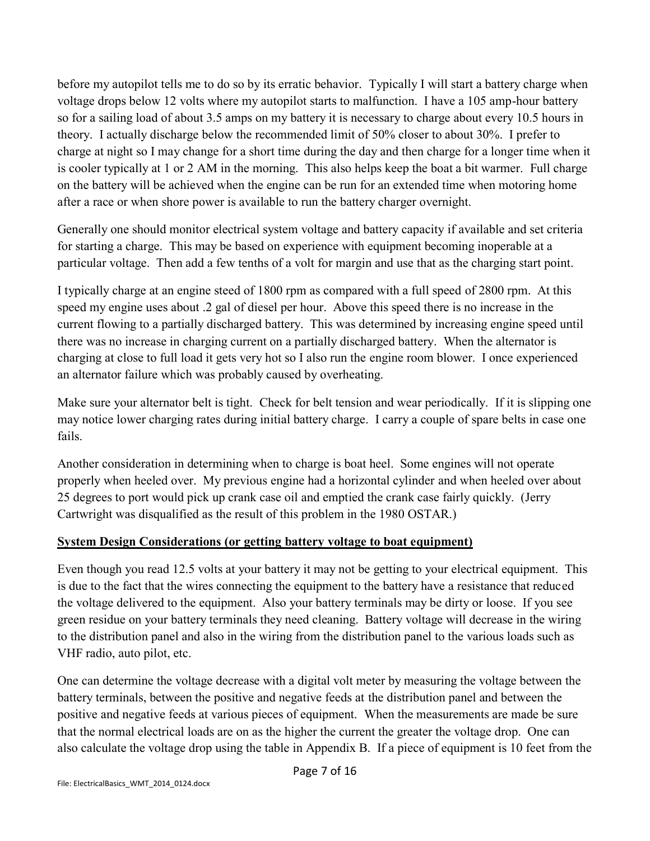before my autopilot tells me to do so by its erratic behavior. Typically I will start a battery charge when voltage drops below 12 volts where my autopilot starts to malfunction. I have a 105 amp-hour battery so for a sailing load of about 3.5 amps on my battery it is necessary to charge about every 10.5 hours in theory. I actually discharge below the recommended limit of 50% closer to about 30%. I prefer to charge at night so I may change for a short time during the day and then charge for a longer time when it is cooler typically at 1 or 2 AM in the morning. This also helps keep the boat a bit warmer. Full charge on the battery will be achieved when the engine can be run for an extended time when motoring home after a race or when shore power is available to run the battery charger overnight.

Generally one should monitor electrical system voltage and battery capacity if available and set criteria for starting a charge. This may be based on experience with equipment becoming inoperable at a particular voltage. Then add a few tenths of a volt for margin and use that as the charging start point.

I typically charge at an engine steed of 1800 rpm as compared with a full speed of 2800 rpm. At this speed my engine uses about .2 gal of diesel per hour. Above this speed there is no increase in the current flowing to a partially discharged battery. This was determined by increasing engine speed until there was no increase in charging current on a partially discharged battery. When the alternator is charging at close to full load it gets very hot so I also run the engine room blower. I once experienced an alternator failure which was probably caused by overheating.

Make sure your alternator belt is tight. Check for belt tension and wear periodically. If it is slipping one may notice lower charging rates during initial battery charge. I carry a couple of spare belts in case one fails.

Another consideration in determining when to charge is boat heel. Some engines will not operate properly when heeled over. My previous engine had a horizontal cylinder and when heeled over about 25 degrees to port would pick up crank case oil and emptied the crank case fairly quickly. (Jerry Cartwright was disqualified as the result of this problem in the 1980 OSTAR.)

## **System Design Considerations (or getting battery voltage to boat equipment)**

Even though you read 12.5 volts at your battery it may not be getting to your electrical equipment. This is due to the fact that the wires connecting the equipment to the battery have a resistance that reduced the voltage delivered to the equipment. Also your battery terminals may be dirty or loose. If you see green residue on your battery terminals they need cleaning. Battery voltage will decrease in the wiring to the distribution panel and also in the wiring from the distribution panel to the various loads such as VHF radio, auto pilot, etc.

One can determine the voltage decrease with a digital volt meter by measuring the voltage between the battery terminals, between the positive and negative feeds at the distribution panel and between the positive and negative feeds at various pieces of equipment. When the measurements are made be sure that the normal electrical loads are on as the higher the current the greater the voltage drop. One can also calculate the voltage drop using the table in Appendix B. If a piece of equipment is 10 feet from the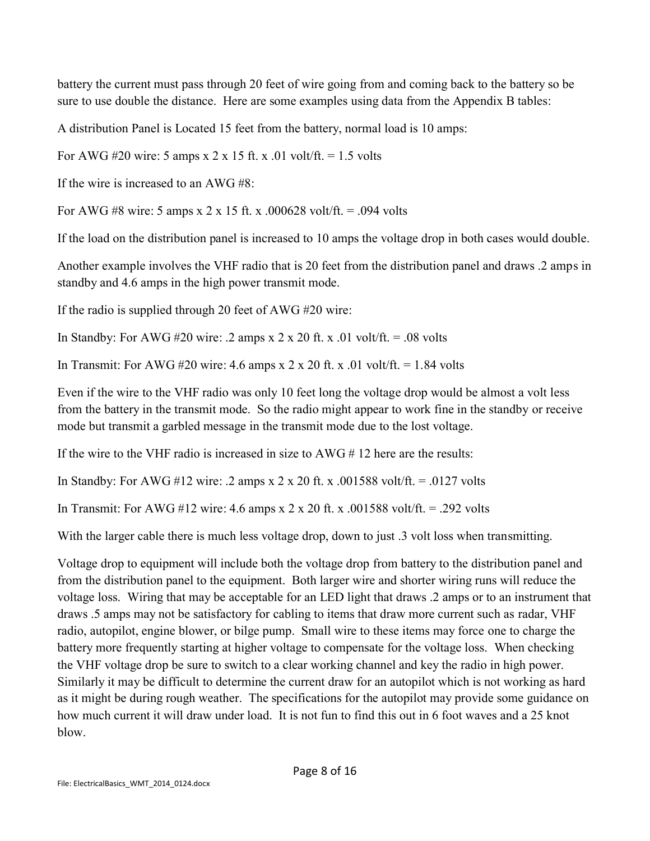battery the current must pass through 20 feet of wire going from and coming back to the battery so be sure to use double the distance. Here are some examples using data from the Appendix B tables:

A distribution Panel is Located 15 feet from the battery, normal load is 10 amps:

For AWG #20 wire: 5 amps x 2 x 15 ft. x .01 volt/ft.  $= 1.5$  volts

If the wire is increased to an  $AWG \#8$ .

For AWG #8 wire: 5 amps x 2 x 15 ft. x .000628 volt/ft. = .094 volts

If the load on the distribution panel is increased to 10 amps the voltage drop in both cases would double.

Another example involves the VHF radio that is 20 feet from the distribution panel and draws .2 amps in standby and 4.6 amps in the high power transmit mode.

If the radio is supplied through 20 feet of AWG #20 wire:

In Standby: For AWG #20 wire: .2 amps x 2 x 20 ft. x .01 volt/ft.  $= .08$  volts

In Transmit: For AWG #20 wire: 4.6 amps x 2 x 20 ft. x .01 volt/ft. = 1.84 volts

Even if the wire to the VHF radio was only 10 feet long the voltage drop would be almost a volt less from the battery in the transmit mode. So the radio might appear to work fine in the standby or receive mode but transmit a garbled message in the transmit mode due to the lost voltage.

If the wire to the VHF radio is increased in size to  $\angle AWG \# 12$  here are the results:

In Standby: For AWG #12 wire: .2 amps x 2 x 20 ft. x .001588 volt/ft. = .0127 volts

In Transmit: For AWG #12 wire:  $4.6$  amps x  $2 \times 20$  ft. x  $0.001588$  volt/ft. = .292 volts

With the larger cable there is much less voltage drop, down to just .3 volt loss when transmitting.

Voltage drop to equipment will include both the voltage drop from battery to the distribution panel and from the distribution panel to the equipment. Both larger wire and shorter wiring runs will reduce the voltage loss. Wiring that may be acceptable for an LED light that draws .2 amps or to an instrument that draws .5 amps may not be satisfactory for cabling to items that draw more current such as radar, VHF radio, autopilot, engine blower, or bilge pump. Small wire to these items may force one to charge the battery more frequently starting at higher voltage to compensate for the voltage loss. When checking the VHF voltage drop be sure to switch to a clear working channel and key the radio in high power. Similarly it may be difficult to determine the current draw for an autopilot which is not working as hard as it might be during rough weather. The specifications for the autopilot may provide some guidance on how much current it will draw under load. It is not fun to find this out in 6 foot waves and a 25 knot blow.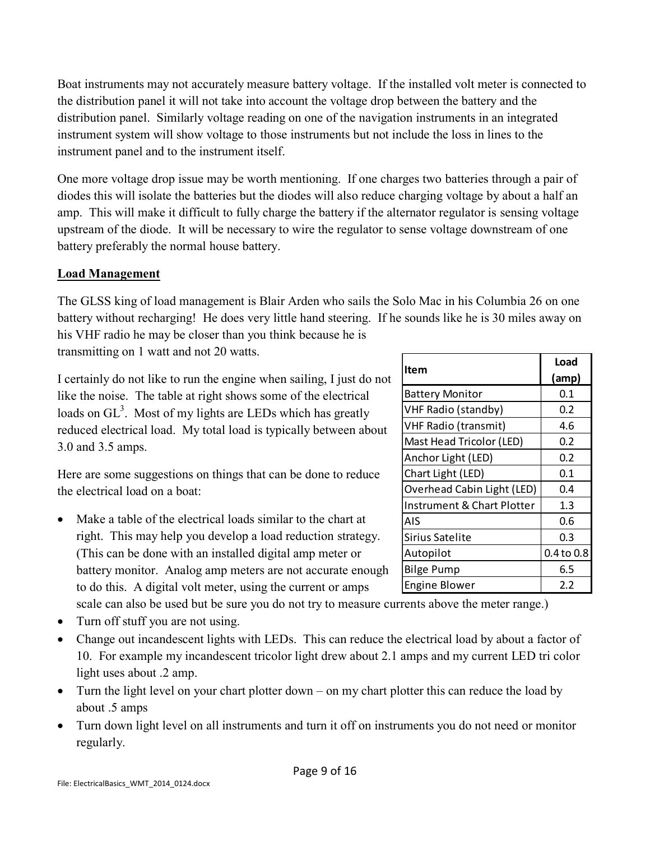Boat instruments may not accurately measure battery voltage. If the installed volt meter is connected to the distribution panel it will not take into account the voltage drop between the battery and the distribution panel. Similarly voltage reading on one of the navigation instruments in an integrated instrument system will show voltage to those instruments but not include the loss in lines to the instrument panel and to the instrument itself.

One more voltage drop issue may be worth mentioning. If one charges two batteries through a pair of diodes this will isolate the batteries but the diodes will also reduce charging voltage by about a half an amp. This will make it difficult to fully charge the battery if the alternator regulator is sensing voltage upstream of the diode. It will be necessary to wire the regulator to sense voltage downstream of one battery preferably the normal house battery.

## **Load Management**

The GLSS king of load management is Blair Arden who sails the Solo Mac in his Columbia 26 on one battery without recharging! He does very little hand steering. If he sounds like he is 30 miles away on his VHF radio he may be closer than you think because he is

transmitting on 1 watt and not 20 watts.

I certainly do not like to run the engine when sailing, I just do not like the noise. The table at right shows some of the electrical loads on  $GL<sup>3</sup>$ . Most of my lights are LEDs which has greatly reduced electrical load. My total load is typically between about 3.0 and 3.5 amps.

Here are some suggestions on things that can be done to reduce the electrical load on a boat:

 Make a table of the electrical loads similar to the chart at right. This may help you develop a load reduction strategy. (This can be done with an installed digital amp meter or battery monitor. Analog amp meters are not accurate enough to do this. A digital volt meter, using the current or amps

scale can also be used but be sure you do not try to measure currents above the meter range.)

- Turn off stuff you are not using.
- Change out incandescent lights with LEDs. This can reduce the electrical load by about a factor of 10. For example my incandescent tricolor light drew about 2.1 amps and my current LED tri color light uses about .2 amp.
- Turn the light level on your chart plotter down on my chart plotter this can reduce the load by about .5 amps
- Turn down light level on all instruments and turn it off on instruments you do not need or monitor regularly.

|                             | Load           |  |
|-----------------------------|----------------|--|
| Item                        | (amp)          |  |
| <b>Battery Monitor</b>      | 0.1            |  |
| VHF Radio (standby)         | 0.2            |  |
| <b>VHF Radio (transmit)</b> | 4.6            |  |
| Mast Head Tricolor (LED)    | 0.2            |  |
| Anchor Light (LED)          | 0.2            |  |
| Chart Light (LED)           | 0.1            |  |
| Overhead Cabin Light (LED)  | 0.4            |  |
| Instrument & Chart Plotter  | 1.3            |  |
| AIS                         | 0.6            |  |
| Sirius Satelite             | 0.3            |  |
| Autopilot                   | $0.4$ to $0.8$ |  |
| <b>Bilge Pump</b>           | 6.5            |  |
| <b>Engine Blower</b>        | 2.2            |  |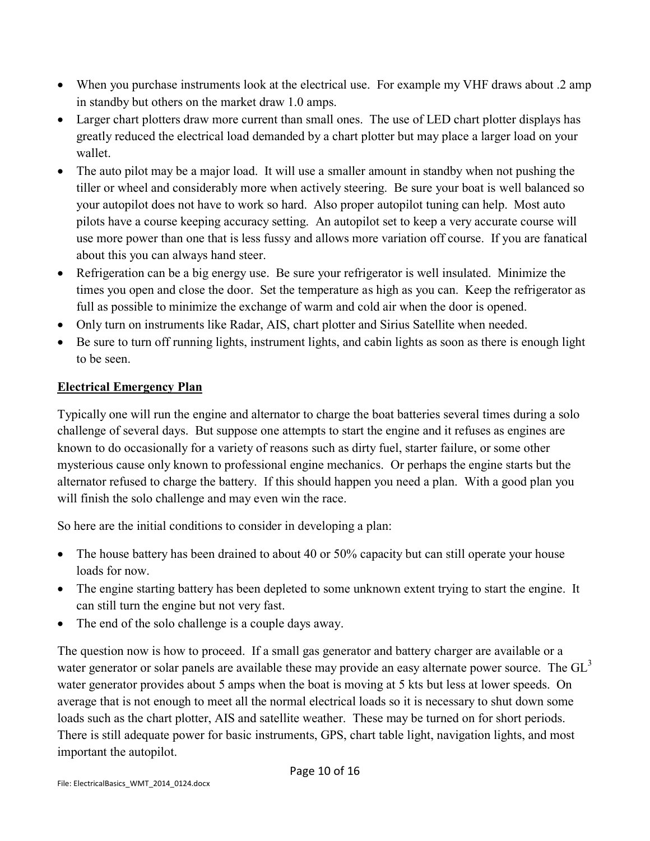- When you purchase instruments look at the electrical use. For example my VHF draws about .2 amp in standby but others on the market draw 1.0 amps.
- Larger chart plotters draw more current than small ones. The use of LED chart plotter displays has greatly reduced the electrical load demanded by a chart plotter but may place a larger load on your wallet.
- The auto pilot may be a major load. It will use a smaller amount in standby when not pushing the tiller or wheel and considerably more when actively steering. Be sure your boat is well balanced so your autopilot does not have to work so hard. Also proper autopilot tuning can help. Most auto pilots have a course keeping accuracy setting. An autopilot set to keep a very accurate course will use more power than one that is less fussy and allows more variation off course. If you are fanatical about this you can always hand steer.
- Refrigeration can be a big energy use. Be sure your refrigerator is well insulated. Minimize the times you open and close the door. Set the temperature as high as you can. Keep the refrigerator as full as possible to minimize the exchange of warm and cold air when the door is opened.
- Only turn on instruments like Radar, AIS, chart plotter and Sirius Satellite when needed.
- Be sure to turn off running lights, instrument lights, and cabin lights as soon as there is enough light to be seen.

## **Electrical Emergency Plan**

Typically one will run the engine and alternator to charge the boat batteries several times during a solo challenge of several days. But suppose one attempts to start the engine and it refuses as engines are known to do occasionally for a variety of reasons such as dirty fuel, starter failure, or some other mysterious cause only known to professional engine mechanics. Or perhaps the engine starts but the alternator refused to charge the battery. If this should happen you need a plan. With a good plan you will finish the solo challenge and may even win the race.

So here are the initial conditions to consider in developing a plan:

- The house battery has been drained to about 40 or 50% capacity but can still operate your house loads for now.
- The engine starting battery has been depleted to some unknown extent trying to start the engine. It can still turn the engine but not very fast.
- The end of the solo challenge is a couple days away.

The question now is how to proceed. If a small gas generator and battery charger are available or a water generator or solar panels are available these may provide an easy alternate power source. The  $GL<sup>3</sup>$ water generator provides about 5 amps when the boat is moving at 5 kts but less at lower speeds. On average that is not enough to meet all the normal electrical loads so it is necessary to shut down some loads such as the chart plotter, AIS and satellite weather. These may be turned on for short periods. There is still adequate power for basic instruments, GPS, chart table light, navigation lights, and most important the autopilot.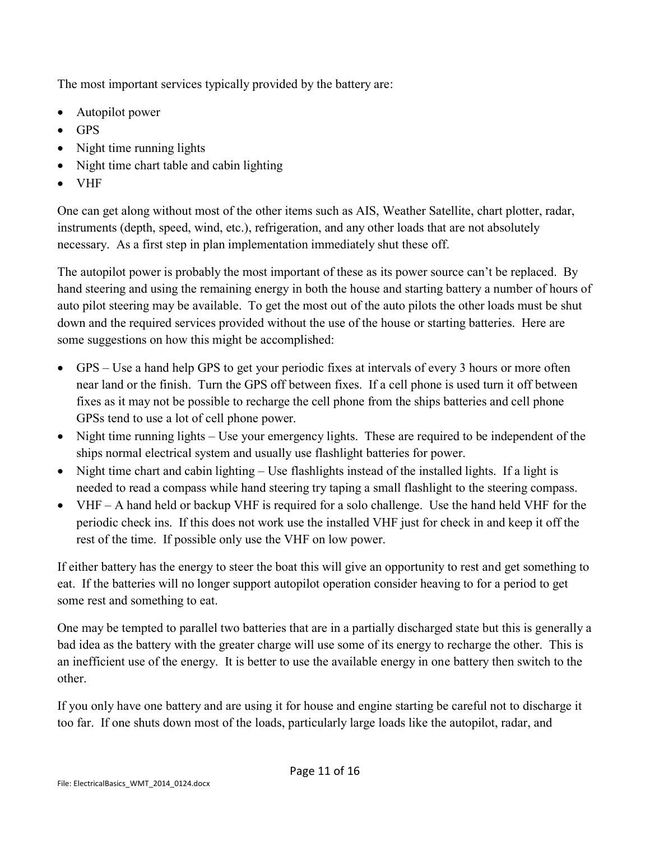The most important services typically provided by the battery are:

- Autopilot power
- GPS
- Night time running lights
- Night time chart table and cabin lighting
- VHF

One can get along without most of the other items such as AIS, Weather Satellite, chart plotter, radar, instruments (depth, speed, wind, etc.), refrigeration, and any other loads that are not absolutely necessary. As a first step in plan implementation immediately shut these off.

The autopilot power is probably the most important of these as its power source can't be replaced. By hand steering and using the remaining energy in both the house and starting battery a number of hours of auto pilot steering may be available. To get the most out of the auto pilots the other loads must be shut down and the required services provided without the use of the house or starting batteries. Here are some suggestions on how this might be accomplished:

- GPS Use a hand help GPS to get your periodic fixes at intervals of every 3 hours or more often near land or the finish. Turn the GPS off between fixes. If a cell phone is used turn it off between fixes as it may not be possible to recharge the cell phone from the ships batteries and cell phone GPSs tend to use a lot of cell phone power.
- Night time running lights Use your emergency lights. These are required to be independent of the ships normal electrical system and usually use flashlight batteries for power.
- Night time chart and cabin lighting Use flashlights instead of the installed lights. If a light is needed to read a compass while hand steering try taping a small flashlight to the steering compass.
- VHF A hand held or backup VHF is required for a solo challenge. Use the hand held VHF for the periodic check ins. If this does not work use the installed VHF just for check in and keep it off the rest of the time. If possible only use the VHF on low power.

If either battery has the energy to steer the boat this will give an opportunity to rest and get something to eat. If the batteries will no longer support autopilot operation consider heaving to for a period to get some rest and something to eat.

One may be tempted to parallel two batteries that are in a partially discharged state but this is generally a bad idea as the battery with the greater charge will use some of its energy to recharge the other. This is an inefficient use of the energy. It is better to use the available energy in one battery then switch to the other.

If you only have one battery and are using it for house and engine starting be careful not to discharge it too far. If one shuts down most of the loads, particularly large loads like the autopilot, radar, and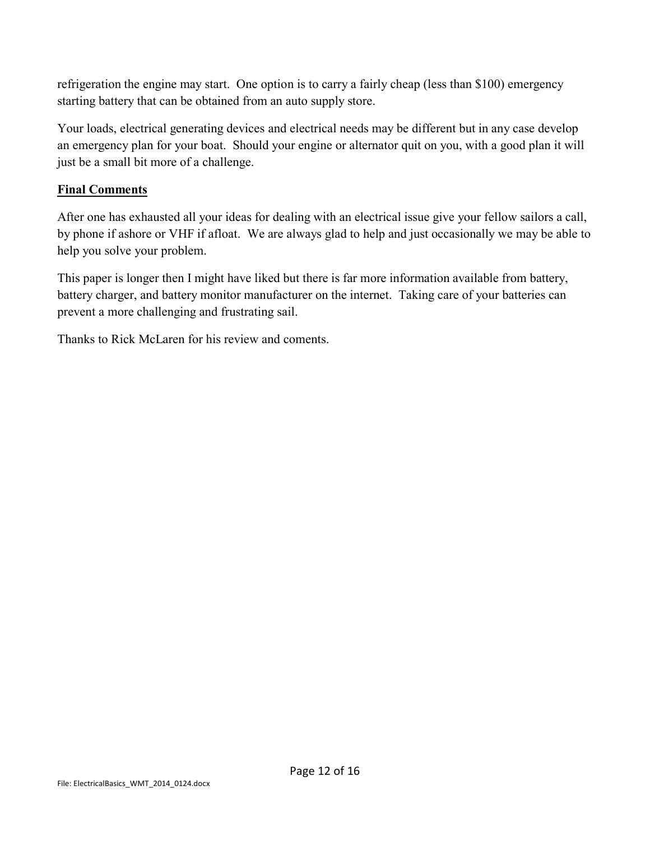refrigeration the engine may start. One option is to carry a fairly cheap (less than \$100) emergency starting battery that can be obtained from an auto supply store.

Your loads, electrical generating devices and electrical needs may be different but in any case develop an emergency plan for your boat. Should your engine or alternator quit on you, with a good plan it will just be a small bit more of a challenge.

## **Final Comments**

After one has exhausted all your ideas for dealing with an electrical issue give your fellow sailors a call, by phone if ashore or VHF if afloat. We are always glad to help and just occasionally we may be able to help you solve your problem.

This paper is longer then I might have liked but there is far more information available from battery, battery charger, and battery monitor manufacturer on the internet. Taking care of your batteries can prevent a more challenging and frustrating sail.

Thanks to Rick McLaren for his review and coments.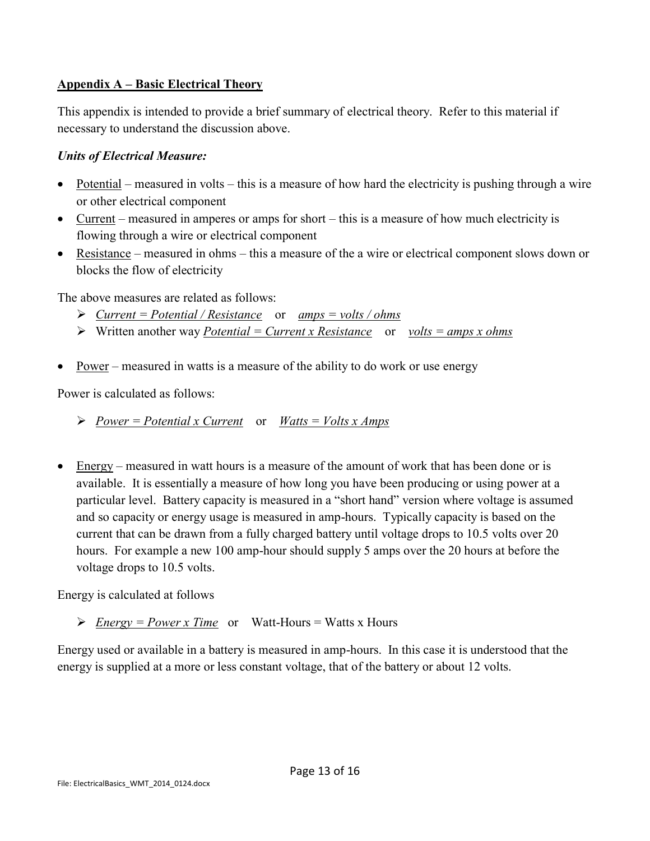#### **Appendix A – Basic Electrical Theory**

This appendix is intended to provide a brief summary of electrical theory. Refer to this material if necessary to understand the discussion above.

#### *Units of Electrical Measure:*

- Potential measured in volts this is a measure of how hard the electricity is pushing through a wire or other electrical component
- Current measured in amperes or amps for short this is a measure of how much electricity is flowing through a wire or electrical component
- Resistance measured in ohms this a measure of the a wire or electrical component slows down or blocks the flow of electricity

The above measures are related as follows:

- *Current = Potential / Resistance* or *amps = volts / ohms*
- Written another way *Potential = Current x Resistance* or *volts = amps x ohms*
- Power measured in watts is a measure of the ability to do work or use energy

Power is calculated as follows:

*Power = Potential x Current* or *Watts = Volts x Amps*

• Energy – measured in watt hours is a measure of the amount of work that has been done or is available. It is essentially a measure of how long you have been producing or using power at a particular level. Battery capacity is measured in a "short hand" version where voltage is assumed and so capacity or energy usage is measured in amp-hours. Typically capacity is based on the current that can be drawn from a fully charged battery until voltage drops to 10.5 volts over 20 hours. For example a new 100 amp-hour should supply 5 amps over the 20 hours at before the voltage drops to 10.5 volts.

Energy is calculated at follows

 $\triangleright$  <u>Energy = Power x Time</u> or Watt-Hours = Watts x Hours

Energy used or available in a battery is measured in amp-hours. In this case it is understood that the energy is supplied at a more or less constant voltage, that of the battery or about 12 volts.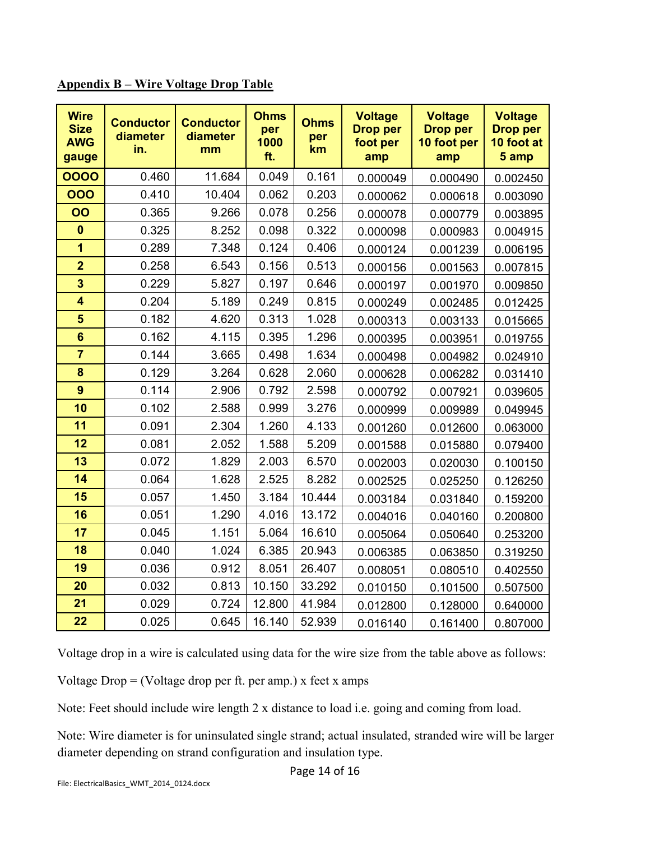|  | <b>Appendix B – Wire Voltage Drop Table</b> |
|--|---------------------------------------------|
|--|---------------------------------------------|

| <b>Wire</b><br><b>Size</b><br><b>AWG</b><br>gauge | <b>Conductor</b><br>diameter<br>in. | <b>Conductor</b><br>diameter<br>mm | <b>Ohms</b><br>per<br>1000<br>ft. | <b>Ohms</b><br>per<br>km | <b>Voltage</b><br><b>Drop per</b><br>foot per<br>amp | <b>Voltage</b><br><b>Drop per</b><br>10 foot per<br>amp | <b>Voltage</b><br><b>Drop per</b><br>10 foot at<br>5 amp |
|---------------------------------------------------|-------------------------------------|------------------------------------|-----------------------------------|--------------------------|------------------------------------------------------|---------------------------------------------------------|----------------------------------------------------------|
| 0000                                              | 0.460                               | 11.684                             | 0.049                             | 0.161                    | 0.000049                                             | 0.000490                                                | 0.002450                                                 |
| 000                                               | 0.410                               | 10.404                             | 0.062                             | 0.203                    | 0.000062                                             | 0.000618                                                | 0.003090                                                 |
| OO                                                | 0.365                               | 9.266                              | 0.078                             | 0.256                    | 0.000078                                             | 0.000779                                                | 0.003895                                                 |
| $\bf{0}$                                          | 0.325                               | 8.252                              | 0.098                             | 0.322                    | 0.000098                                             | 0.000983                                                | 0.004915                                                 |
| $\overline{1}$                                    | 0.289                               | 7.348                              | 0.124                             | 0.406                    | 0.000124                                             | 0.001239                                                | 0.006195                                                 |
| $\overline{2}$                                    | 0.258                               | 6.543                              | 0.156                             | 0.513                    | 0.000156                                             | 0.001563                                                | 0.007815                                                 |
| $\overline{\mathbf{3}}$                           | 0.229                               | 5.827                              | 0.197                             | 0.646                    | 0.000197                                             | 0.001970                                                | 0.009850                                                 |
| $\overline{\mathbf{4}}$                           | 0.204                               | 5.189                              | 0.249                             | 0.815                    | 0.000249                                             | 0.002485                                                | 0.012425                                                 |
| 5                                                 | 0.182                               | 4.620                              | 0.313                             | 1.028                    | 0.000313                                             | 0.003133                                                | 0.015665                                                 |
| $6\phantom{1}$                                    | 0.162                               | 4.115                              | 0.395                             | 1.296                    | 0.000395                                             | 0.003951                                                | 0.019755                                                 |
| $\overline{7}$                                    | 0.144                               | 3.665                              | 0.498                             | 1.634                    | 0.000498                                             | 0.004982                                                | 0.024910                                                 |
| 8                                                 | 0.129                               | 3.264                              | 0.628                             | 2.060                    | 0.000628                                             | 0.006282                                                | 0.031410                                                 |
| 9                                                 | 0.114                               | 2.906                              | 0.792                             | 2.598                    | 0.000792                                             | 0.007921                                                | 0.039605                                                 |
| 10                                                | 0.102                               | 2.588                              | 0.999                             | 3.276                    | 0.000999                                             | 0.009989                                                | 0.049945                                                 |
| 11                                                | 0.091                               | 2.304                              | 1.260                             | 4.133                    | 0.001260                                             | 0.012600                                                | 0.063000                                                 |
| 12                                                | 0.081                               | 2.052                              | 1.588                             | 5.209                    | 0.001588                                             | 0.015880                                                | 0.079400                                                 |
| 13                                                | 0.072                               | 1.829                              | 2.003                             | 6.570                    | 0.002003                                             | 0.020030                                                | 0.100150                                                 |
| 14                                                | 0.064                               | 1.628                              | 2.525                             | 8.282                    | 0.002525                                             | 0.025250                                                | 0.126250                                                 |
| 15                                                | 0.057                               | 1.450                              | 3.184                             | 10.444                   | 0.003184                                             | 0.031840                                                | 0.159200                                                 |
| 16                                                | 0.051                               | 1.290                              | 4.016                             | 13.172                   | 0.004016                                             | 0.040160                                                | 0.200800                                                 |
| 17                                                | 0.045                               | 1.151                              | 5.064                             | 16.610                   | 0.005064                                             | 0.050640                                                | 0.253200                                                 |
| 18                                                | 0.040                               | 1.024                              | 6.385                             | 20.943                   | 0.006385                                             | 0.063850                                                | 0.319250                                                 |
| 19                                                | 0.036                               | 0.912                              | 8.051                             | 26.407                   | 0.008051                                             | 0.080510                                                | 0.402550                                                 |
| 20                                                | 0.032                               | 0.813                              | 10.150                            | 33.292                   | 0.010150                                             | 0.101500                                                | 0.507500                                                 |
| 21                                                | 0.029                               | 0.724                              | 12.800                            | 41.984                   | 0.012800                                             | 0.128000                                                | 0.640000                                                 |
| 22                                                | 0.025                               | 0.645                              | 16.140                            | 52.939                   | 0.016140                                             | 0.161400                                                | 0.807000                                                 |

Voltage drop in a wire is calculated using data for the wire size from the table above as follows:

Voltage Drop = (Voltage drop per ft. per amp.) x feet x amps

Note: Feet should include wire length 2 x distance to load i.e. going and coming from load.

Note: Wire diameter is for uninsulated single strand; actual insulated, stranded wire will be larger diameter depending on strand configuration and insulation type.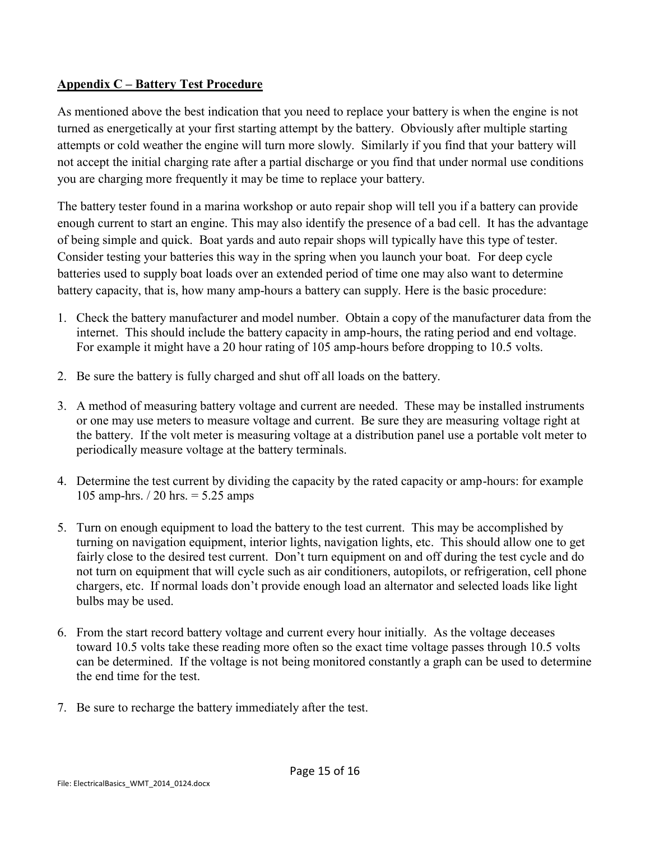#### **Appendix C – Battery Test Procedure**

As mentioned above the best indication that you need to replace your battery is when the engine is not turned as energetically at your first starting attempt by the battery. Obviously after multiple starting attempts or cold weather the engine will turn more slowly. Similarly if you find that your battery will not accept the initial charging rate after a partial discharge or you find that under normal use conditions you are charging more frequently it may be time to replace your battery.

The battery tester found in a marina workshop or auto repair shop will tell you if a battery can provide enough current to start an engine. This may also identify the presence of a bad cell. It has the advantage of being simple and quick. Boat yards and auto repair shops will typically have this type of tester. Consider testing your batteries this way in the spring when you launch your boat. For deep cycle batteries used to supply boat loads over an extended period of time one may also want to determine battery capacity, that is, how many amp-hours a battery can supply. Here is the basic procedure:

- 1. Check the battery manufacturer and model number. Obtain a copy of the manufacturer data from the internet. This should include the battery capacity in amp-hours, the rating period and end voltage. For example it might have a 20 hour rating of 105 amp-hours before dropping to 10.5 volts.
- 2. Be sure the battery is fully charged and shut off all loads on the battery.
- 3. A method of measuring battery voltage and current are needed. These may be installed instruments or one may use meters to measure voltage and current. Be sure they are measuring voltage right at the battery. If the volt meter is measuring voltage at a distribution panel use a portable volt meter to periodically measure voltage at the battery terminals.
- 4. Determine the test current by dividing the capacity by the rated capacity or amp-hours: for example 105 amp-hrs. / 20 hrs. = 5.25 amps
- 5. Turn on enough equipment to load the battery to the test current. This may be accomplished by turning on navigation equipment, interior lights, navigation lights, etc. This should allow one to get fairly close to the desired test current. Don't turn equipment on and off during the test cycle and do not turn on equipment that will cycle such as air conditioners, autopilots, or refrigeration, cell phone chargers, etc. If normal loads don't provide enough load an alternator and selected loads like light bulbs may be used.
- 6. From the start record battery voltage and current every hour initially. As the voltage deceases toward 10.5 volts take these reading more often so the exact time voltage passes through 10.5 volts can be determined. If the voltage is not being monitored constantly a graph can be used to determine the end time for the test.
- 7. Be sure to recharge the battery immediately after the test.